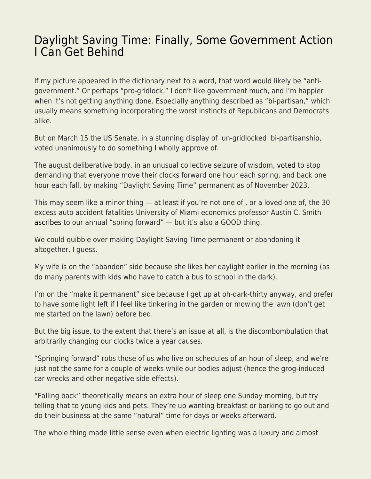## [Daylight Saving Time: Finally, Some Government Action](https://everything-voluntary.com/daylight-saving-time-finally-some-government-action-i-can-get-behind) [I Can Get Behind](https://everything-voluntary.com/daylight-saving-time-finally-some-government-action-i-can-get-behind)

If my picture appeared in the dictionary next to a word, that word would likely be "antigovernment." Or perhaps "pro-gridlock." I don't like government much, and I'm happier when it's not getting anything done. Especially anything described as "bi-partisan," which usually means something incorporating the worst instincts of Republicans and Democrats alike.

But on March 15 the US Senate, in a stunning display of un-gridlocked bi-partisanship, voted unanimously to do something I wholly approve of.

The august deliberative body, in an unusual collective seizure of wisdom, [voted](https://www.reuters.com/world/us/us-senate-approves-bill-that-would-make-daylight-savings-time-permanent-2023-2022-03-15/) to stop demanding that everyone move their clocks forward one hour each spring, and back one hour each fall, by making "Daylight Saving Time" permanent as of November 2023.

This may seem like a minor thing — at least if you're not one of , or a loved one of, the 30 excess auto accident fatalities University of Miami economics professor Austin C. Smith [ascribes](https://www.aeaweb.org/articles?id=10.1257/app.20140100) to our annual "spring forward" — but it's also a GOOD thing.

We could quibble over making Daylight Saving Time permanent or abandoning it altogether, I guess.

My wife is on the "abandon" side because she likes her daylight earlier in the morning (as do many parents with kids who have to catch a bus to school in the dark).

I'm on the "make it permanent" side because I get up at oh-dark-thirty anyway, and prefer to have some light left if I feel like tinkering in the garden or mowing the lawn (don't get me started on the lawn) before bed.

But the big issue, to the extent that there's an issue at all, is the discombombulation that arbitrarily changing our clocks twice a year causes.

"Springing forward" robs those of us who live on schedules of an hour of sleep, and we're just not the same for a couple of weeks while our bodies adjust (hence the grog-induced car wrecks and other negative side effects).

"Falling back" theoretically means an extra hour of sleep one Sunday morning, but try telling that to young kids and pets. They're up wanting breakfast or barking to go out and do their business at the same "natural" time for days or weeks afterward.

The whole thing made little sense even when electric lighting was a luxury and almost